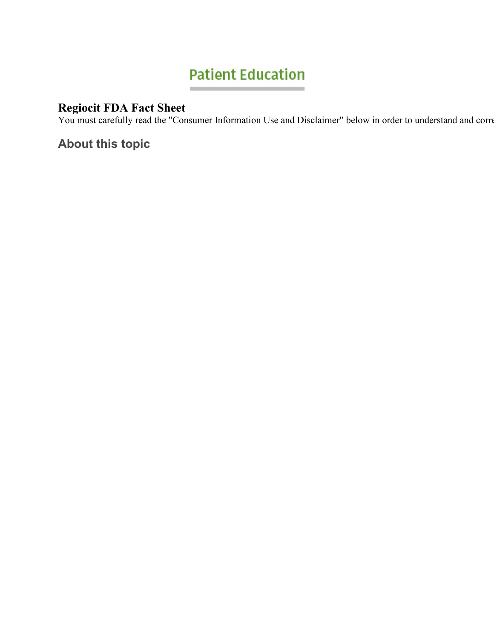# **Patient Education**

## **Regiocit FDA Fact Sheet**

You must carefully read the "Consumer Information Use and Disclaimer" below in order to understand and corre

**About this topic**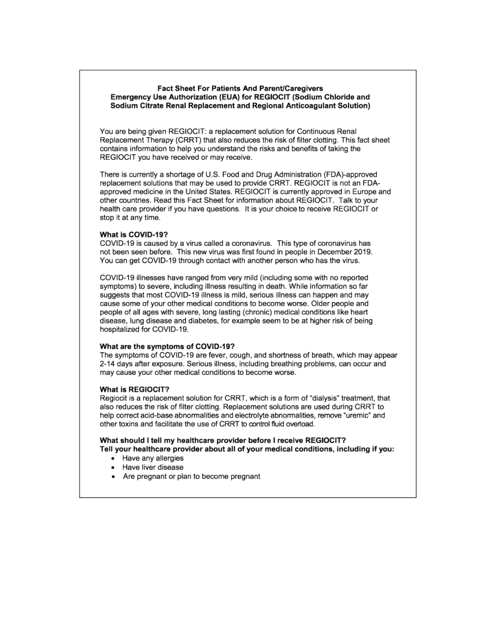#### Fact Sheet For Patients And Parent/Caregivers Emergency Use Authorization (EUA) for REGIOCIT (Sodium Chloride and Sodium Citrate Renal Replacement and Regional Anticoagulant Solution)

You are being given REGIOCIT: a replacement solution for Continuous Renal Replacement Therapy (CRRT) that also reduces the risk of filter clotting. This fact sheet contains information to help you understand the risks and benefits of taking the REGIOCIT you have received or may receive.

There is currently a shortage of U.S. Food and Drug Administration (FDA)-approved replacement solutions that may be used to provide CRRT. REGIOCIT is not an FDAapproved medicine in the United States. REGIOCIT is currently approved in Europe and other countries. Read this Fact Sheet for information about REGIOCIT. Talk to your health care provider if you have questions. It is your choice to receive REGIOCIT or stop it at any time.

#### What is COVID-19?

COVID-19 is caused by a virus called a coronavirus. This type of coronavirus has not been seen before. This new virus was first found in people in December 2019. You can get COVID-19 through contact with another person who has the virus.

COVID-19 illnesses have ranged from very mild (including some with no reported symptoms) to severe, including illness resulting in death. While information so far suggests that most COVID-19 illness is mild, serious illness can happen and may cause some of your other medical conditions to become worse. Older people and people of all ages with severe, long lasting (chronic) medical conditions like heart disease, lung disease and diabetes, for example seem to be at higher risk of being hospitalized for COVID-19.

#### What are the symptoms of COVID-19?

The symptoms of COVID-19 are fever, cough, and shortness of breath, which may appear 2-14 days after exposure. Serious illness, including breathing problems, can occur and may cause your other medical conditions to become worse.

#### What is REGIOCIT?

Regiocit is a replacement solution for CRRT, which is a form of "dialysis" treatment, that also reduces the risk of filter clotting. Replacement solutions are used during CRRT to help correct acid-base abnormalities and electrolyte abnormalities, remove "uremic" and other toxins and facilitate the use of CRRT to control fluid overload.

#### What should I tell my healthcare provider before I receive REGIOCIT? Tell your healthcare provider about all of your medical conditions, including if you:

- 
- Have any allergies
- Have liver disease
- Are pregnant or plan to become pregnant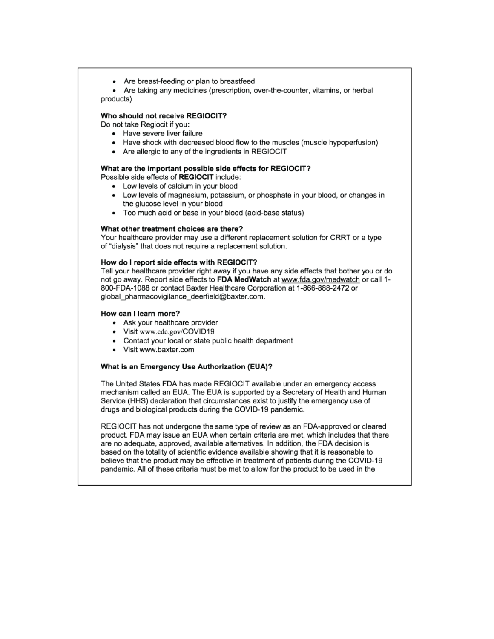• Are breast-feeding or plan to breastfeed

Are taking any medicines (prescription, over-the-counter, vitamins, or herbal products)

#### Who should not receive REGIOCIT?

Do not take Regiocit if you:

- Have severe liver failure
- Have shock with decreased blood flow to the muscles (muscle hypoperfusion)
- Are allergic to any of the ingredients in REGIOCIT

#### What are the important possible side effects for REGIOCIT?

Possible side effects of REGIOCIT include:

- Low levels of calcium in your blood
- Low levels of magnesium, potassium, or phosphate in your blood, or changes in  $\bullet$ the glucose level in your blood
- Too much acid or base in your blood (acid-base status)

#### What other treatment choices are there?

Your healthcare provider may use a different replacement solution for CRRT or a type of "dialysis" that does not require a replacement solution.

#### How do I report side effects with REGIOCIT?

Tell your healthcare provider right away if you have any side effects that bother you or do not go away. Report side effects to FDA MedWatch at www.fda.gov/medwatch or call 1-800-FDA-1088 or contact Baxter Healthcare Corporation at 1-866-888-2472 or global\_pharmacovigilance\_deerfield@baxter.com.

#### How can I learn more?

- Ask your healthcare provider
- Visit www.cdc.gov/COVID19
- Contact your local or state public health department
- Visit www.baxter.com

#### What is an Emergency Use Authorization (EUA)?

The United States FDA has made REGIOCIT available under an emergency access mechanism called an EUA. The EUA is supported by a Secretary of Health and Human Service (HHS) declaration that circumstances exist to justify the emergency use of drugs and biological products during the COVID-19 pandemic.

REGIOCIT has not undergone the same type of review as an FDA-approved or cleared product. FDA may issue an EUA when certain criteria are met, which includes that there are no adequate, approved, available alternatives. In addition, the FDA decision is based on the totality of scientific evidence available showing that it is reasonable to believe that the product may be effective in treatment of patients during the COVID-19 pandemic. All of these criteria must be met to allow for the product to be used in the